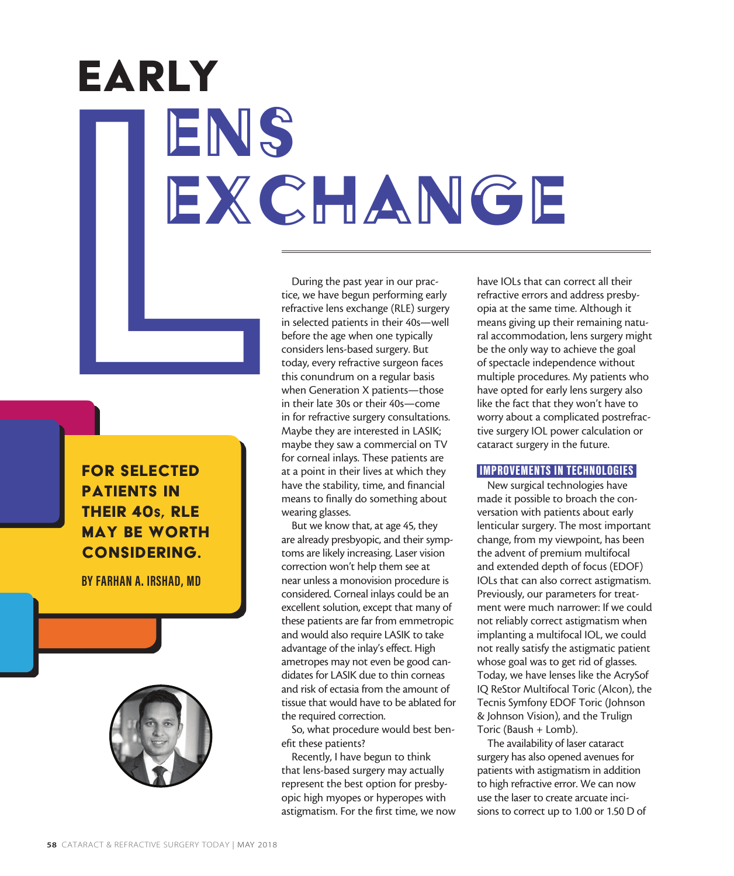# EARLY<br>
ENGENGE ENS EXCHANGE Early

FOR SELECTED PATIENTS IN THEIR 40s, RLE MAY BE WORTH CONSIDERING.

**BY FARHAN A. IRSHAD, MD**



During the past year in our practice, we have begun performing early refractive lens exchange (RLE) surgery in selected patients in their 40s—well before the age when one typically considers lens-based surgery. But today, every refractive surgeon faces this conundrum on a regular basis when Generation X patients—those in their late 30s or their 40s—come in for refractive surgery consultations. Maybe they are interested in LASIK; maybe they saw a commercial on TV for corneal inlays. These patients are at a point in their lives at which they have the stability, time, and financial means to finally do something about wearing glasses.

But we know that, at age 45, they are already presbyopic, and their symptoms are likely increasing. Laser vision correction won't help them see at near unless a monovision procedure is considered. Corneal inlays could be an excellent solution, except that many of these patients are far from emmetropic and would also require LASIK to take advantage of the inlay's effect. High ametropes may not even be good candidates for LASIK due to thin corneas and risk of ectasia from the amount of tissue that would have to be ablated for the required correction.

So, what procedure would best benefit these patients?

Recently, I have begun to think that lens-based surgery may actually represent the best option for presbyopic high myopes or hyperopes with astigmatism. For the first time, we now have IOLs that can correct all their refractive errors and address presbyopia at the same time. Although it means giving up their remaining natural accommodation, lens surgery might be the only way to achieve the goal of spectacle independence without multiple procedures. My patients who have opted for early lens surgery also like the fact that they won't have to worry about a complicated postrefractive surgery IOL power calculation or cataract surgery in the future.

# IMPROVEMENTS IN TECHNOLOGIES

New surgical technologies have made it possible to broach the conversation with patients about early lenticular surgery. The most important change, from my viewpoint, has been the advent of premium multifocal and extended depth of focus (EDOF) IOLs that can also correct astigmatism. Previously, our parameters for treatment were much narrower: If we could not reliably correct astigmatism when implanting a multifocal IOL, we could not really satisfy the astigmatic patient whose goal was to get rid of glasses. Today, we have lenses like the AcrySof IQ ReStor Multifocal Toric (Alcon), the Tecnis Symfony EDOF Toric (Johnson & Johnson Vision), and the Trulign Toric (Baush + Lomb).

The availability of laser cataract surgery has also opened avenues for patients with astigmatism in addition to high refractive error. We can now use the laser to create arcuate incisions to correct up to 1.00 or 1.50 D of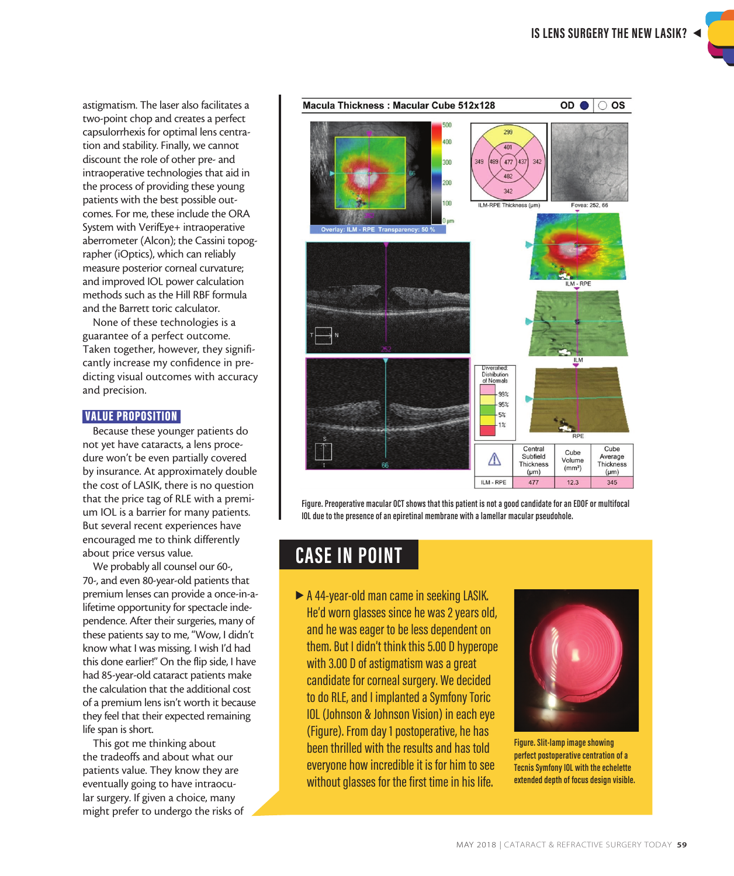astigmatism. The laser also facilitates a two-point chop and creates a perfect capsulorrhexis for optimal lens centration and stability. Finally, we cannot discount the role of other pre- and intraoperative technologies that aid in the process of providing these young patients with the best possible outcomes. For me, these include the ORA System with VerifEye+ intraoperative aberrometer (Alcon); the Cassini topographer (iOptics), which can reliably measure posterior corneal curvature; and improved IOL power calculation methods such as the Hill RBF formula and the Barrett toric calculator.

None of these technologies is a guarantee of a perfect outcome. Taken together, however, they significantly increase my confidence in predicting visual outcomes with accuracy and precision.

# VALUE PROPOSITION

Because these younger patients do not yet have cataracts, a lens procedure won't be even partially covered by insurance. At approximately double the cost of LASIK, there is no question that the price tag of RLE with a premium IOL is a barrier for many patients. But several recent experiences have encouraged me to think differently about price versus value.

We probably all counsel our 60-, 70-, and even 80-year-old patients that premium lenses can provide a once-in-alifetime opportunity for spectacle independence. After their surgeries, many of these patients say to me, "Wow, I didn't know what I was missing. I wish I'd had this done earlier!" On the flip side, I have had 85-year-old cataract patients make the calculation that the additional cost of a premium lens isn't worth it because they feel that their expected remaining life span is short.

This got me thinking about the tradeoffs and about what our patients value. They know they are eventually going to have intraocular surgery. If given a choice, many might prefer to undergo the risks of



**Figure. Preoperative macular OCT shows that this patient is not a good candidate for an EDOF or multifocal IOL due to the presence of an epiretinal membrane with a lamellar macular pseudohole.** 

# **CASE IN POINT**

A 44-year-old man came in seeking LASIK. He'd worn glasses since he was 2 years old, and he was eager to be less dependent on them. But I didn't think this 5.00 D hyperope with 3.00 D of astigmatism was a great candidate for corneal surgery. We decided to do RLE, and I implanted a Symfony Toric IOL (Johnson & Johnson Vision) in each eye (Figure). From day 1 postoperative, he has been thrilled with the results and has told everyone how incredible it is for him to see without glasses for the first time in his life.



**Figure. Slit-lamp image showing perfect postoperative centration of a Tecnis Symfony IOL with the echelette extended depth of focus design visible.**